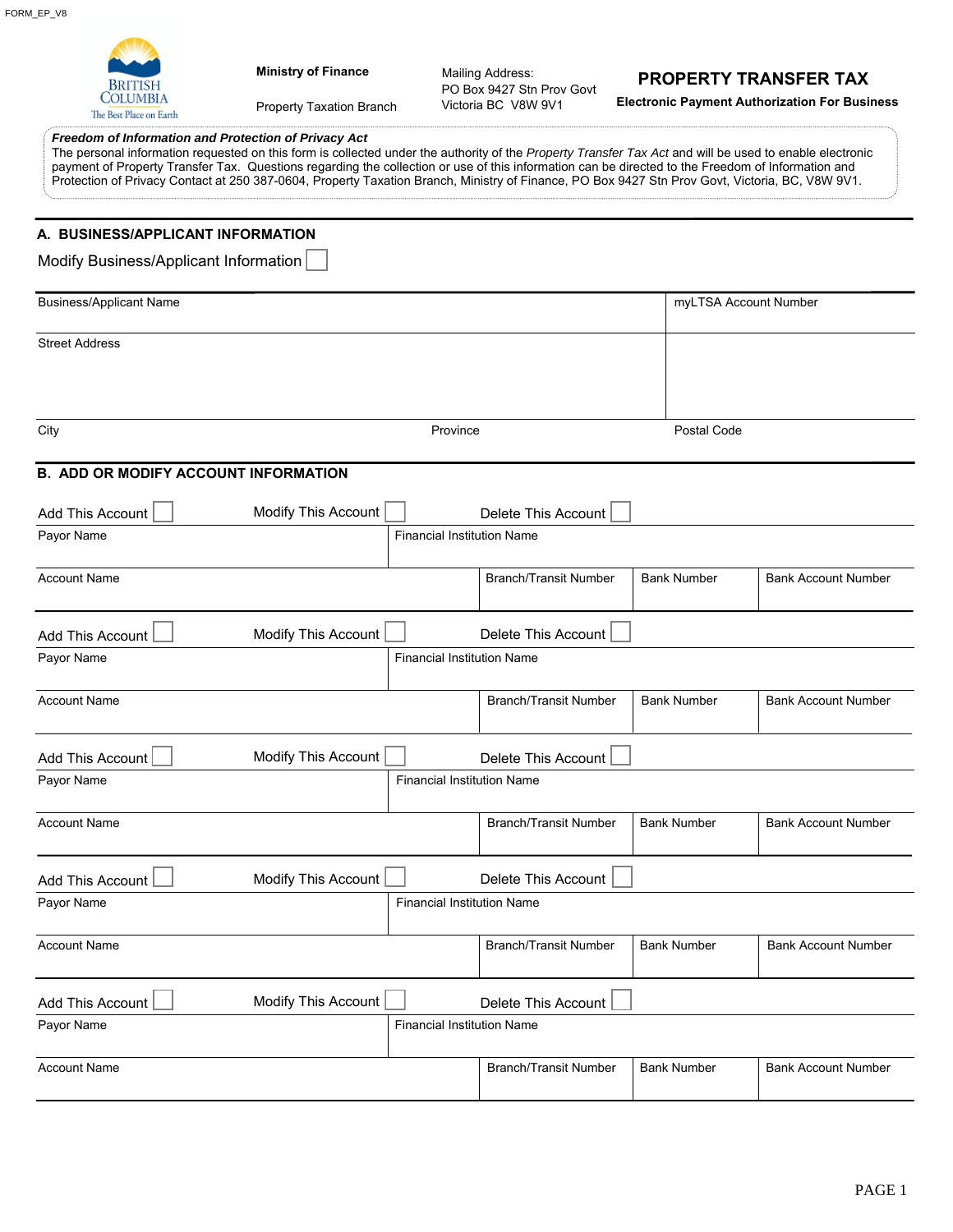| <b>Ministry of Finance</b><br>. OLUMBI A<br>Property Taxation Branch<br>The Best Place on Earth                                                                                                                                                                                                                                                                                                                                                                                                                         |                                   | Mailing Address:<br>PO Box 9427 Stn Prov Govt<br>Victoria BC V8W 9V1 | <b>PROPERTY TRANSFER TAX</b> | <b>Electronic Payment Authorization For Business</b> |
|-------------------------------------------------------------------------------------------------------------------------------------------------------------------------------------------------------------------------------------------------------------------------------------------------------------------------------------------------------------------------------------------------------------------------------------------------------------------------------------------------------------------------|-----------------------------------|----------------------------------------------------------------------|------------------------------|------------------------------------------------------|
| Freedom of Information and Protection of Privacy Act<br>The personal information requested on this form is collected under the authority of the Property Transfer Tax Act and will be used to enable electronic<br>payment of Property Transfer Tax. Questions regarding the collection or use of this information can be directed to the Freedom of Information and<br>Protection of Privacy Contact at 250 387-0604, Property Taxation Branch, Ministry of Finance, PO Box 9427 Stn Prov Govt, Victoria, BC, V8W 9V1. |                                   |                                                                      |                              |                                                      |
| A. BUSINESS/APPLICANT INFORMATION<br>Modify Business/Applicant Information                                                                                                                                                                                                                                                                                                                                                                                                                                              |                                   |                                                                      |                              |                                                      |
| <b>Business/Applicant Name</b>                                                                                                                                                                                                                                                                                                                                                                                                                                                                                          |                                   | myLTSA Account Number                                                |                              |                                                      |
| <b>Street Address</b>                                                                                                                                                                                                                                                                                                                                                                                                                                                                                                   |                                   |                                                                      |                              |                                                      |
|                                                                                                                                                                                                                                                                                                                                                                                                                                                                                                                         |                                   |                                                                      |                              |                                                      |
| City                                                                                                                                                                                                                                                                                                                                                                                                                                                                                                                    | Province                          |                                                                      | Postal Code                  |                                                      |
| <b>B. ADD OR MODIFY ACCOUNT INFORMATION</b>                                                                                                                                                                                                                                                                                                                                                                                                                                                                             |                                   |                                                                      |                              |                                                      |
| Modify This Account<br>Add This Account                                                                                                                                                                                                                                                                                                                                                                                                                                                                                 |                                   | Delete This Account                                                  |                              |                                                      |
| Payor Name                                                                                                                                                                                                                                                                                                                                                                                                                                                                                                              | <b>Financial Institution Name</b> |                                                                      |                              |                                                      |
| <b>Account Name</b>                                                                                                                                                                                                                                                                                                                                                                                                                                                                                                     |                                   | <b>Branch/Transit Number</b>                                         | <b>Bank Number</b>           | <b>Bank Account Number</b>                           |
| Modify This Account<br>Add This Account                                                                                                                                                                                                                                                                                                                                                                                                                                                                                 |                                   | Delete This Account                                                  |                              |                                                      |
| Payor Name                                                                                                                                                                                                                                                                                                                                                                                                                                                                                                              | <b>Financial Institution Name</b> |                                                                      |                              |                                                      |
| <b>Account Name</b>                                                                                                                                                                                                                                                                                                                                                                                                                                                                                                     |                                   | <b>Branch/Transit Number</b>                                         | <b>Bank Number</b>           | <b>Bank Account Number</b>                           |
| Modify This Account<br>Add This Account                                                                                                                                                                                                                                                                                                                                                                                                                                                                                 |                                   | Delete This Account                                                  |                              |                                                      |
| Payor Name                                                                                                                                                                                                                                                                                                                                                                                                                                                                                                              | <b>Financial Institution Name</b> |                                                                      |                              |                                                      |
| <b>Account Name</b>                                                                                                                                                                                                                                                                                                                                                                                                                                                                                                     |                                   | <b>Branch/Transit Number</b>                                         | <b>Bank Number</b>           | <b>Bank Account Number</b>                           |
| Modify This Account<br>Add This Account                                                                                                                                                                                                                                                                                                                                                                                                                                                                                 |                                   | Delete This Account                                                  |                              |                                                      |
| Payor Name                                                                                                                                                                                                                                                                                                                                                                                                                                                                                                              | <b>Financial Institution Name</b> |                                                                      |                              |                                                      |
| <b>Account Name</b>                                                                                                                                                                                                                                                                                                                                                                                                                                                                                                     |                                   | <b>Branch/Transit Number</b>                                         | <b>Bank Number</b>           | <b>Bank Account Number</b>                           |
| Modify This Account<br>Add This Account                                                                                                                                                                                                                                                                                                                                                                                                                                                                                 |                                   | Delete This Account                                                  |                              |                                                      |
| Payor Name                                                                                                                                                                                                                                                                                                                                                                                                                                                                                                              | <b>Financial Institution Name</b> |                                                                      |                              |                                                      |
| <b>Account Name</b>                                                                                                                                                                                                                                                                                                                                                                                                                                                                                                     |                                   | <b>Branch/Transit Number</b>                                         | <b>Bank Number</b>           | <b>Bank Account Number</b>                           |